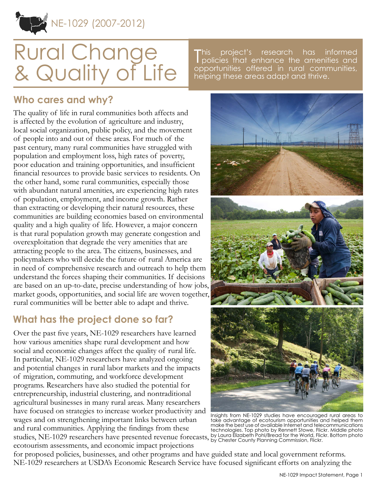NE-1029 (2007-2012)

# Rural Change & Quality of Life

This project's research has informed<br>policies that enhance the amenities and project's research has informed opportunities offered in rural communities, helping these areas adapt and thrive.

### **Who cares and why?**

The quality of life in rural communities both affects and is affected by the evolution of agriculture and industry, local social organization, public policy, and the movement of people into and out of these areas. For much of the past century, many rural communities have struggled with population and employment loss, high rates of poverty, poor education and training opportunities, and insufficient financial resources to provide basic services to residents. On the other hand, some rural communities, especially those with abundant natural amenities, are experiencing high rates of population, employment, and income growth. Rather than extracting or developing their natural resources, these communities are building economies based on environmental quality and a high quality of life. However, a major concern is that rural population growth may generate congestion and overexploitation that degrade the very amenities that are attracting people to the area. The citizens, businesses, and policymakers who will decide the future of rural America are in need of comprehensive research and outreach to help them understand the forces shaping their communities. If decisions are based on an up-to-date, precise understanding of how jobs, market goods, opportunities, and social life are woven together, rural communities will be better able to adapt and thrive.

## **What has the project done so far?**

Over the past five years, NE-1029 researchers have learned how various amenities shape rural development and how social and economic changes affect the quality of rural life. In particular, NE-1029 researchers have analyzed ongoing and potential changes in rural labor markets and the impacts of migration, commuting, and workforce development programs. Researchers have also studied the potential for entrepreneurship, industrial clustering, and nontraditional agricultural businesses in many rural areas. Many researchers have focused on strategies to increase worker productivity and wages and on strengthening important links between urban and rural communities. Applying the findings from these studies, NE-1029 researchers have presented revenue forecasts,

ecotourism assessments, and economic impact projections



Insights from NE-1029 studies have encouraged rural areas to take advantage of ecotourism opportunities and helped them make the best use of available Internet and telecommunications technologies. Top photo by Rennett Stowe, Flickr. Middle photo by Laura Elizabeth Pohl/Bread for the World, Flickr. Bottom photo by Chester County Planning Commission, Flickr.

for proposed policies, businesses, and other programs and have guided state and local government reforms. NE-1029 researchers at USDA's Economic Research Service have focused significant efforts on analyzing the